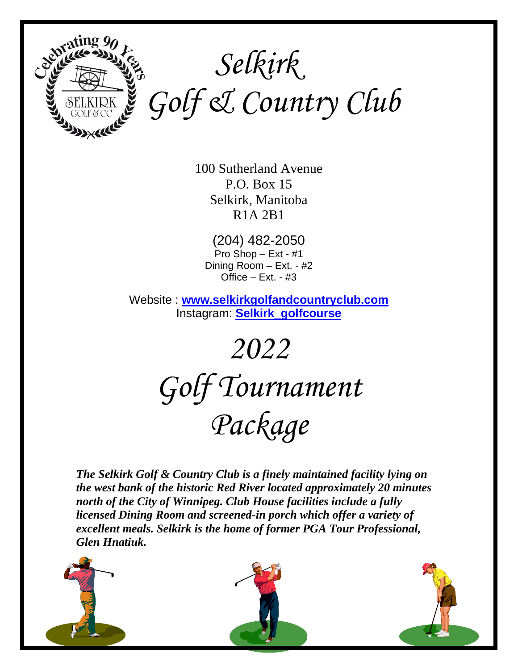

 *Selkirk Golf & Country Club*

> 100 Sutherland Avenue P.O. Box 15 Selkirk, Manitoba R1A 2B1

(204) 482-2050 Pro Shop – Ext - #1 Dining Room – Ext. - #2 Office  $-$  Ext.  $-$  #3

Website : **[www.selkirkgolfandcountryclub.com](http://www.selkirkgolfandcountryclub.com/)** Instagram: **[Selkirk\\_golfcourse](https://www.instagram.com/selkirk_golfcourse/)**

> *2022 Golf Tournament Package*

*The Selkirk Golf & Country Club is a finely maintained facility lying on the west bank of the historic Red River located approximately 20 minutes north of the City of Winnipeg. Club House facilities include a fully licensed Dining Room and screened-in porch which offer a variety of excellent meals. Selkirk is the home of former PGA Tour Professional, Glen Hnatiuk.*

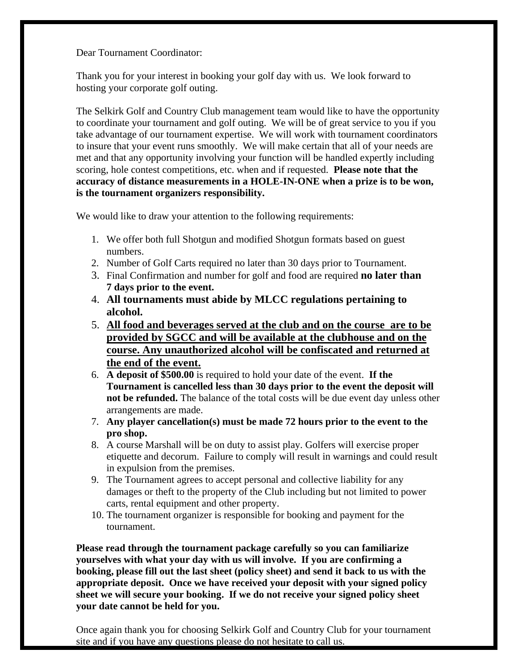Dear Tournament Coordinator:

Thank you for your interest in booking your golf day with us. We look forward to hosting your corporate golf outing.

The Selkirk Golf and Country Club management team would like to have the opportunity to coordinate your tournament and golf outing. We will be of great service to you if you take advantage of our tournament expertise. We will work with tournament coordinators to insure that your event runs smoothly. We will make certain that all of your needs are met and that any opportunity involving your function will be handled expertly including scoring, hole contest competitions, etc. when and if requested. **Please note that the accuracy of distance measurements in a HOLE-IN-ONE when a prize is to be won, is the tournament organizers responsibility.**

We would like to draw your attention to the following requirements:

- 1. We offer both full Shotgun and modified Shotgun formats based on guest numbers.
- 2. Number of Golf Carts required no later than 30 days prior to Tournament.
- 3. Final Confirmation and number for golf and food are required **no later than 7 days prior to the event.**
- 4. **All tournaments must abide by MLCC regulations pertaining to alcohol.**
- 5. **All food and beverages served at the club and on the course are to be provided by SGCC and will be available at the clubhouse and on the course. Any unauthorized alcohol will be confiscated and returned at the end of the event.**
- 6. **A deposit of \$500.00** is required to hold your date of the event. **If the Tournament is cancelled less than 30 days prior to the event the deposit will not be refunded.** The balance of the total costs will be due event day unless other arrangements are made.
- 7. **Any player cancellation(s) must be made 72 hours prior to the event to the pro shop.**
- 8. A course Marshall will be on duty to assist play. Golfers will exercise proper etiquette and decorum. Failure to comply will result in warnings and could result in expulsion from the premises.
- 9. The Tournament agrees to accept personal and collective liability for any damages or theft to the property of the Club including but not limited to power carts, rental equipment and other property.
- 10. The tournament organizer is responsible for booking and payment for the tournament.

**Please read through the tournament package carefully so you can familiarize yourselves with what your day with us will involve. If you are confirming a booking, please fill out the last sheet (policy sheet) and send it back to us with the appropriate deposit. Once we have received your deposit with your signed policy sheet we will secure your booking. If we do not receive your signed policy sheet your date cannot be held for you.**

Once again thank you for choosing Selkirk Golf and Country Club for your tournament site and if you have any questions please do not hesitate to call us.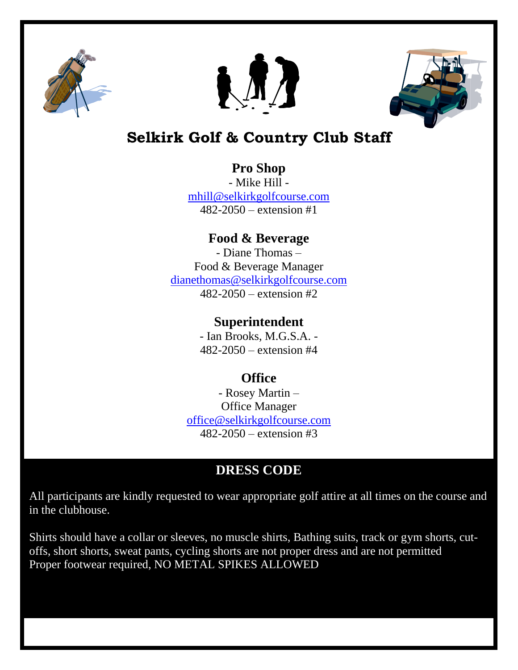





# **Selkirk Golf & Country Club Staff**

### **Pro Shop**

- Mike Hill [mhill@selkirkgolfcourse.com](mailto:mhill@selkirkgolfcourse.com) 482-2050 – extension #1

# **Food & Beverage**

- Diane Thomas – Food & Beverage Manager [dianethomas@selkirkgolfcourse.com](mailto:dianethomas@selkirkgolfcourse.com) 482-2050 – extension #2

### **Superintendent**

- Ian Brooks, M.G.S.A. - 482-2050 – extension #4

# **Office**

- Rosey Martin – Office Manager [office@selkirkgolfcourse.com](mailto:office@selkirkgolfcourse.com) 482-2050 – extension #3

# **DRESS CODE**

All participants are kindly requested to wear appropriate golf attire at all times on the course and in the clubhouse.

Shirts should have a collar or sleeves, no muscle shirts, Bathing suits, track or gym shorts, cutoffs, short shorts, sweat pants, cycling shorts are not proper dress and are not permitted Proper footwear required, NO METAL SPIKES ALLOWED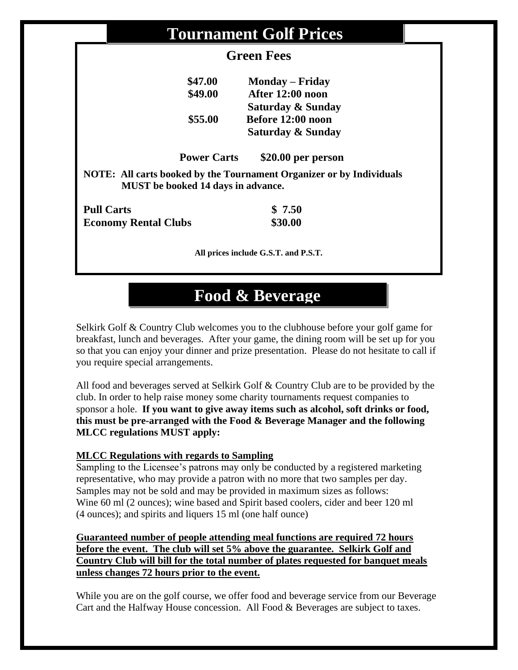| <b>Tournament Golf Prices</b>                                                                                     |                        |  |
|-------------------------------------------------------------------------------------------------------------------|------------------------|--|
| <b>Green Fees</b>                                                                                                 |                        |  |
| \$47.00                                                                                                           | <b>Monday</b> – Friday |  |
| \$49.00                                                                                                           | After 12:00 noon       |  |
|                                                                                                                   | Saturday & Sunday      |  |
| \$55.00                                                                                                           | Before 12:00 noon      |  |
|                                                                                                                   | Saturday & Sunday      |  |
| <b>Power Carts</b>                                                                                                | \$20.00 per person     |  |
| NOTE: All carts booked by the Tournament Organizer or by Individuals<br><b>MUST</b> be booked 14 days in advance. |                        |  |
| <b>Pull Carts</b>                                                                                                 | \$7.50                 |  |
| <b>Economy Rental Clubs</b>                                                                                       | \$30.00                |  |
| All prices include G.S.T. and P.S.T.                                                                              |                        |  |

# **Food & Beverage**

Selkirk Golf & Country Club welcomes you to the clubhouse before your golf game for breakfast, lunch and beverages. After your game, the dining room will be set up for you so that you can enjoy your dinner and prize presentation. Please do not hesitate to call if you require special arrangements.

All food and beverages served at Selkirk Golf & Country Club are to be provided by the club. In order to help raise money some charity tournaments request companies to sponsor a hole. **If you want to give away items such as alcohol, soft drinks or food, this must be pre-arranged with the Food & Beverage Manager and the following MLCC regulations MUST apply:**

#### **MLCC Regulations with regards to Sampling**

Sampling to the Licensee's patrons may only be conducted by a registered marketing representative, who may provide a patron with no more that two samples per day. Samples may not be sold and may be provided in maximum sizes as follows: Wine 60 ml (2 ounces); wine based and Spirit based coolers, cider and beer 120 ml (4 ounces); and spirits and liquers 15 ml (one half ounce)

#### **Guaranteed number of people attending meal functions are required 72 hours before the event. The club will set 5% above the guarantee. Selkirk Golf and Country Club will bill for the total number of plates requested for banquet meals unless changes 72 hours prior to the event.**

While you are on the golf course, we offer food and beverage service from our Beverage Cart and the Halfway House concession. All Food & Beverages are subject to taxes.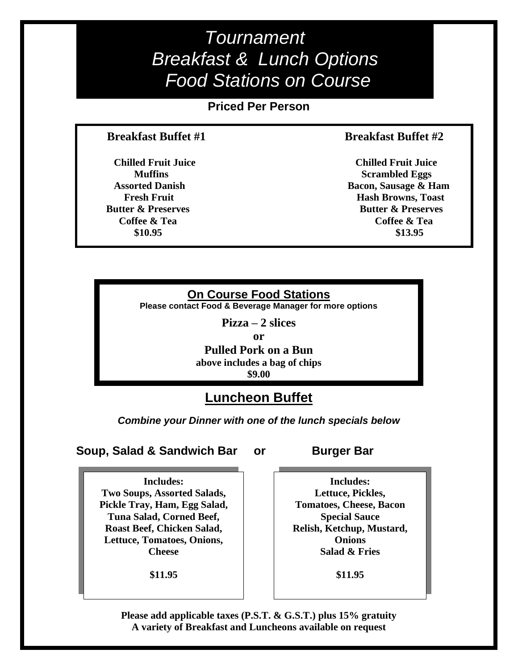*Tournament Breakfast & Lunch Options Food Stations on Course*

**Priced Per Person**

#### **Breakfast Buffet #1 Breakfast Buffet #2**

**\$10.95** \$13.95

 **Chilled Fruit Juice Chilled Fruit Juice Muffins** Scrambled Eggs  **Assorted Danish Bacon, Sausage & Ham Fresh Fruit Fresh Fruit Exercise Exercise Structure Hash Browns, Toast Butter & Preserves** Butter & Preserves **Coffee & Tea Coffee & Tea Coffee & Tea Coffee & Tea** 

#### **On Course Food Stations**

**Please contact Food & Beverage Manager for more options**

**Pizza – 2 slices**

**or**

**Pulled Pork on a Bun above includes a bag of chips \$9.00**

## **Luncheon Buffet**

*Combine your Dinner with one of the lunch specials below*

**Soup, Salad & Sandwich Bar or Burger Bar** 

**Includes: Two Soups, Assorted Salads, Pickle Tray, Ham, Egg Salad, Tuna Salad, Corned Beef, Roast Beef, Chicken Salad, Lettuce, Tomatoes, Onions, Cheese**

**\$11.95**

**Includes: Lettuce, Pickles, Tomatoes, Cheese, Bacon Special Sauce Relish, Ketchup, Mustard, Onions Salad & Fries**

**\$11.95**

**Please add applicable taxes (P.S.T. & G.S.T.) plus 15% gratuity A variety of Breakfast and Luncheons available on request**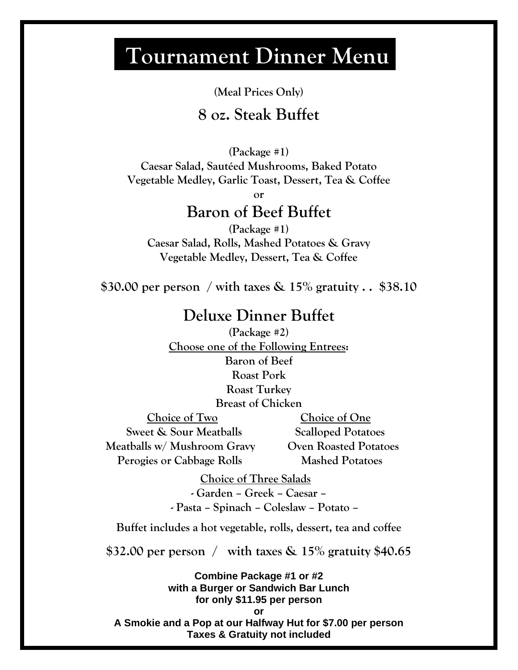# **Tournament Dinner Menu**

**(Meal Prices Only)**

# **8 oz. Steak Buffet**

**(Package #1)**

**Caesar Salad, Sautéed Mushrooms, Baked Potato Vegetable Medley, Garlic Toast, Dessert, Tea & Coffee**

**or**

# **Baron of Beef Buffet**

**(Package #1) Caesar Salad, Rolls, Mashed Potatoes & Gravy Vegetable Medley, Dessert, Tea & Coffee**

**\$30.00 per person / with taxes & 15% gratuity . . \$38.10**

# **Deluxe Dinner Buffet**

**(Package #2) Choose one of the Following Entrees: Baron of Beef Roast Pork Roast Turkey Breast of Chicken**

**Sweet & Sour Meatballs Scalloped Potatoes Meatballs w/ Mushroom Gravy Oven Roasted Potatoes Perogies or Cabbage Rolls Mashed Potatoes** 

 **Choice of Two Choice of One**

 **Choice of Three Salads**

**- Garden – Greek – Caesar – - Pasta – Spinach – Coleslaw – Potato –**

**Buffet includes a hot vegetable, rolls, dessert, tea and coffee**

**\$32.00 per person / with taxes & 15% gratuity \$40.65**

**Combine Package #1 or #2 with a Burger or Sandwich Bar Lunch for only \$11.95 per person or A Smokie and a Pop at our Halfway Hut for \$7.00 per person Taxes & Gratuity not included**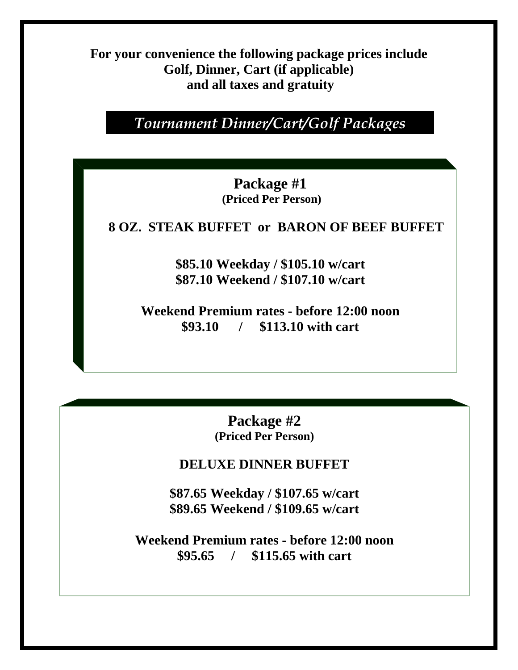**For your convenience the following package prices include Golf, Dinner, Cart (if applicable) and all taxes and gratuity** 

*Tournament Dinner/Cart/Golf Packages*

**Package #1 (Priced Per Person)**

 **8 OZ. STEAK BUFFET or BARON OF BEEF BUFFET**

**\$85.10 Weekday / \$105.10 w/cart \$87.10 Weekend / \$107.10 w/cart**

**Weekend Premium rates - before 12:00 noon \$93.10 / \$113.10 with cart**

> **Package #2 (Priced Per Person)**

**DELUXE DINNER BUFFET**

**\$87.65 Weekday / \$107.65 w/cart \$89.65 Weekend / \$109.65 w/cart**

**Weekend Premium rates - before 12:00 noon \$95.65 / \$115.65 with cart**